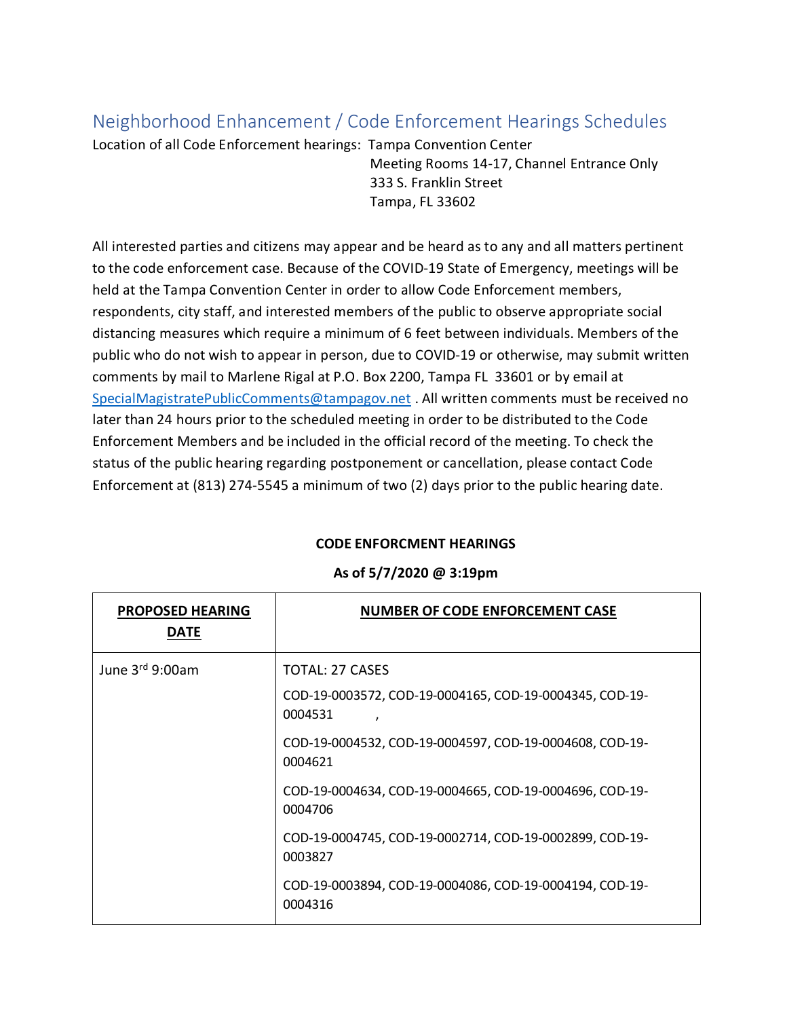## Neighborhood Enhancement / Code Enforcement Hearings Schedules

Location of all Code Enforcement hearings: Tampa Convention Center Meeting Rooms 14-17, Channel Entrance Only 333 S. Franklin Street Tampa, FL 33602

All interested parties and citizens may appear and be heard as to any and all matters pertinent to the code enforcement case. Because of the COVID-19 State of Emergency, meetings will be held at the Tampa Convention Center in order to allow Code Enforcement members, respondents, city staff, and interested members of the public to observe appropriate social distancing measures which require a minimum of 6 feet between individuals. Members of the public who do not wish to appear in person, due to COVID-19 or otherwise, may submit written comments by mail to Marlene Rigal at P.O. Box 2200, Tampa FL 33601 or by email at [SpecialMagistratePublicComments@tampagov.net](mailto:SpecialMagistratePublicComments@tampagov.net) . All written comments must be received no later than 24 hours prior to the scheduled meeting in order to be distributed to the Code Enforcement Members and be included in the official record of the meeting. To check the status of the public hearing regarding postponement or cancellation, please contact Code Enforcement at (813) 274-5545 a minimum of two (2) days prior to the public hearing date.

## **CODE ENFORCMENT HEARINGS**

## **As of 5/7/2020 @ 3:19pm**

| <b>PROPOSED HEARING</b><br><b>DATE</b> | <b>NUMBER OF CODE ENFORCEMENT CASE</b>                                     |
|----------------------------------------|----------------------------------------------------------------------------|
| June $3rd$ 9:00am                      | TOTAL: 27 CASES<br>COD-19-0003572, COD-19-0004165, COD-19-0004345, COD-19- |
|                                        | 0004531<br>,                                                               |
|                                        | COD-19-0004532, COD-19-0004597, COD-19-0004608, COD-19-<br>0004621         |
|                                        | COD-19-0004634, COD-19-0004665, COD-19-0004696, COD-19-<br>0004706         |
|                                        | COD-19-0004745, COD-19-0002714, COD-19-0002899, COD-19-<br>0003827         |
|                                        | COD-19-0003894, COD-19-0004086, COD-19-0004194, COD-19-<br>0004316         |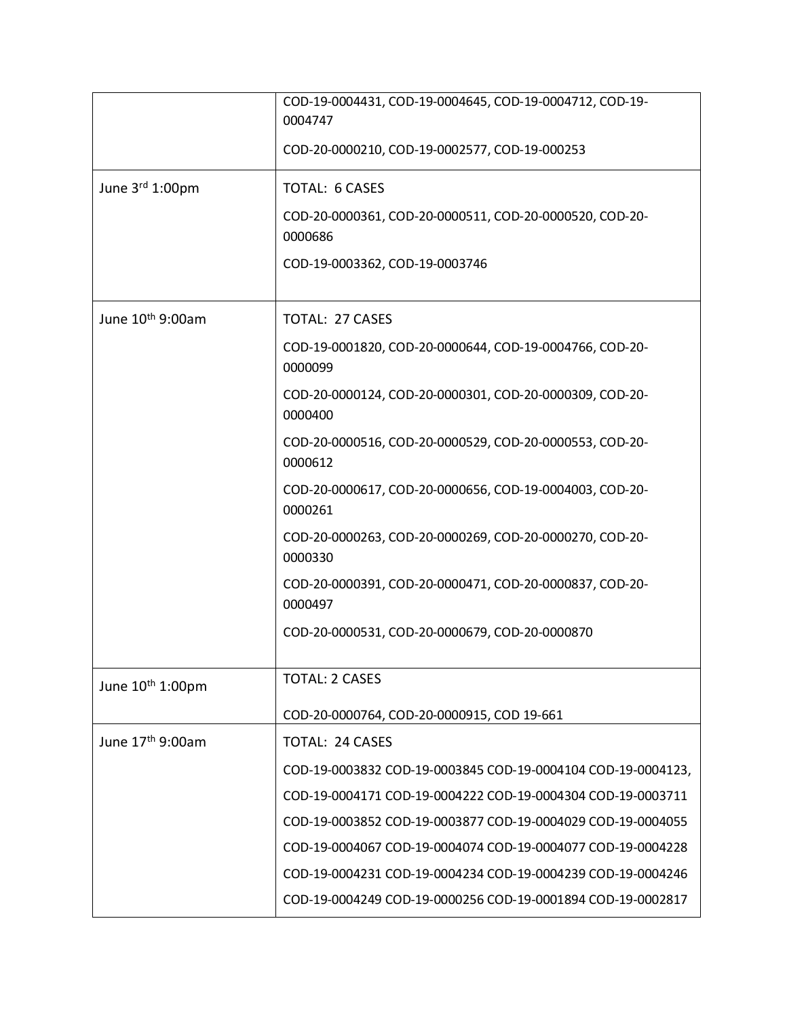|                              | COD-19-0004431, COD-19-0004645, COD-19-0004712, COD-19-<br>0004747 |
|------------------------------|--------------------------------------------------------------------|
|                              | COD-20-0000210, COD-19-0002577, COD-19-000253                      |
| June 3rd 1:00pm              | <b>TOTAL: 6 CASES</b>                                              |
|                              | COD-20-0000361, COD-20-0000511, COD-20-0000520, COD-20-<br>0000686 |
|                              | COD-19-0003362, COD-19-0003746                                     |
| June 10 <sup>th</sup> 9:00am | <b>TOTAL: 27 CASES</b>                                             |
|                              | COD-19-0001820, COD-20-0000644, COD-19-0004766, COD-20-<br>0000099 |
|                              | COD-20-0000124, COD-20-0000301, COD-20-0000309, COD-20-<br>0000400 |
|                              | COD-20-0000516, COD-20-0000529, COD-20-0000553, COD-20-<br>0000612 |
|                              | COD-20-0000617, COD-20-0000656, COD-19-0004003, COD-20-<br>0000261 |
|                              | COD-20-0000263, COD-20-0000269, COD-20-0000270, COD-20-<br>0000330 |
|                              | COD-20-0000391, COD-20-0000471, COD-20-0000837, COD-20-<br>0000497 |
|                              | COD-20-0000531, COD-20-0000679, COD-20-0000870                     |
| June 10 <sup>th</sup> 1:00pm | <b>TOTAL: 2 CASES</b>                                              |
|                              | COD-20-0000764, COD-20-0000915, COD 19-661                         |
| June 17th 9:00am             | <b>TOTAL: 24 CASES</b>                                             |
|                              | COD-19-0003832 COD-19-0003845 COD-19-0004104 COD-19-0004123,       |
|                              | COD-19-0004171 COD-19-0004222 COD-19-0004304 COD-19-0003711        |
|                              | COD-19-0003852 COD-19-0003877 COD-19-0004029 COD-19-0004055        |
|                              | COD-19-0004067 COD-19-0004074 COD-19-0004077 COD-19-0004228        |
|                              | COD-19-0004231 COD-19-0004234 COD-19-0004239 COD-19-0004246        |
|                              | COD-19-0004249 COD-19-0000256 COD-19-0001894 COD-19-0002817        |